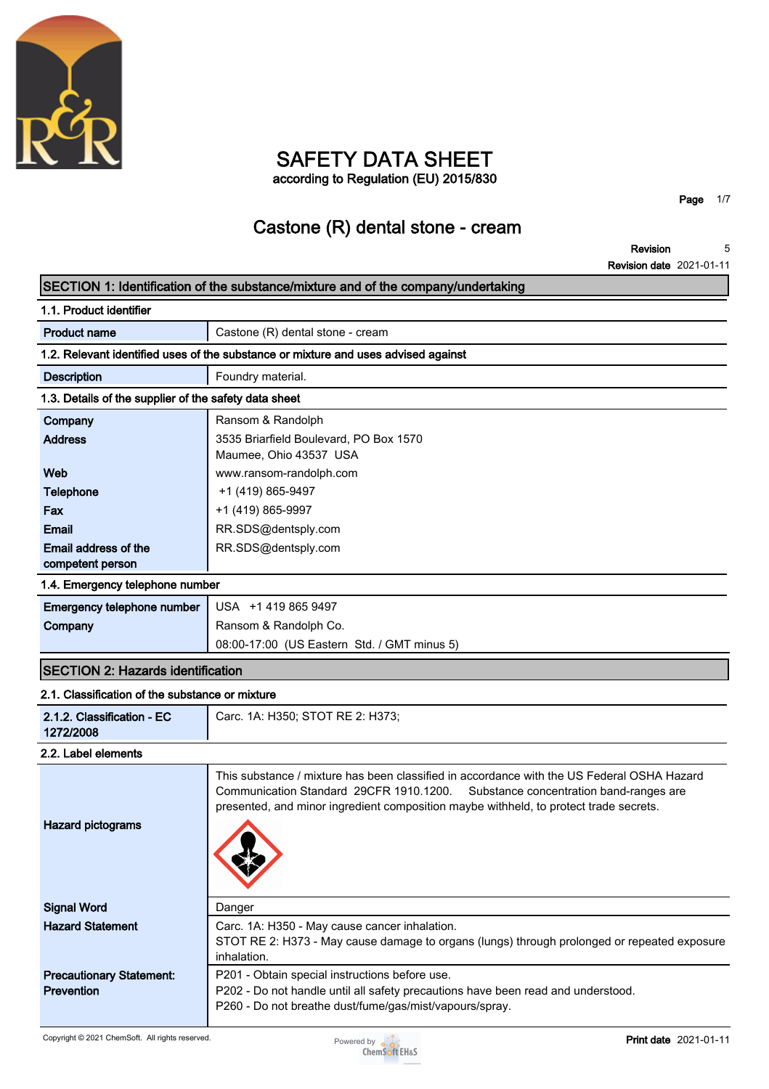

## **SAFETY DATA SHEET according to Regulation (EU) 2015/830**

**Page 1/7**

# **Castone (R) dental stone - cream**

**Revision 5**

|                                                       | <b>Revision date 2021-01-11</b>                                                                                                                                                                                                                                           |
|-------------------------------------------------------|---------------------------------------------------------------------------------------------------------------------------------------------------------------------------------------------------------------------------------------------------------------------------|
|                                                       | SECTION 1: Identification of the substance/mixture and of the company/undertaking                                                                                                                                                                                         |
| 1.1. Product identifier                               |                                                                                                                                                                                                                                                                           |
| <b>Product name</b>                                   | Castone (R) dental stone - cream                                                                                                                                                                                                                                          |
|                                                       | 1.2. Relevant identified uses of the substance or mixture and uses advised against                                                                                                                                                                                        |
| <b>Description</b>                                    | Foundry material.                                                                                                                                                                                                                                                         |
| 1.3. Details of the supplier of the safety data sheet |                                                                                                                                                                                                                                                                           |
| Company                                               | Ransom & Randolph                                                                                                                                                                                                                                                         |
| <b>Address</b>                                        | 3535 Briarfield Boulevard, PO Box 1570                                                                                                                                                                                                                                    |
|                                                       | Maumee, Ohio 43537 USA                                                                                                                                                                                                                                                    |
| Web                                                   | www.ransom-randolph.com                                                                                                                                                                                                                                                   |
| <b>Telephone</b>                                      | +1 (419) 865-9497                                                                                                                                                                                                                                                         |
| Fax                                                   | +1 (419) 865-9997                                                                                                                                                                                                                                                         |
| <b>Email</b>                                          | RR.SDS@dentsply.com                                                                                                                                                                                                                                                       |
| Email address of the                                  | RR.SDS@dentsply.com                                                                                                                                                                                                                                                       |
| competent person                                      |                                                                                                                                                                                                                                                                           |
| 1.4. Emergency telephone number                       |                                                                                                                                                                                                                                                                           |
| Emergency telephone number                            | USA +1 419 865 9497                                                                                                                                                                                                                                                       |
| Company                                               | Ransom & Randolph Co.                                                                                                                                                                                                                                                     |
|                                                       | 08:00-17:00 (US Eastern Std. / GMT minus 5)                                                                                                                                                                                                                               |
| <b>SECTION 2: Hazards identification</b>              |                                                                                                                                                                                                                                                                           |
| 2.1. Classification of the substance or mixture       |                                                                                                                                                                                                                                                                           |
| 2.1.2. Classification - EC<br>1272/2008               | Carc. 1A: H350; STOT RE 2: H373;                                                                                                                                                                                                                                          |
| 2.2. Label elements                                   |                                                                                                                                                                                                                                                                           |
| <b>Hazard pictograms</b>                              | This substance / mixture has been classified in accordance with the US Federal OSHA Hazard<br>Communication Standard 29CFR 1910.1200.<br>Substance concentration band-ranges are<br>presented, and minor ingredient composition maybe withheld, to protect trade secrets. |
| <b>Signal Word</b>                                    | Danger                                                                                                                                                                                                                                                                    |
| <b>Hazard Statement</b>                               | Carc. 1A: H350 - May cause cancer inhalation.<br>STOT RE 2: H373 - May cause damage to organs (lungs) through prolonged or repeated exposure<br>inhalation.                                                                                                               |
| <b>Precautionary Statement:</b>                       | P201 - Obtain special instructions before use.                                                                                                                                                                                                                            |
| <b>Prevention</b>                                     | P202 - Do not handle until all safety precautions have been read and understood.                                                                                                                                                                                          |
|                                                       | P260 - Do not breathe dust/fume/gas/mist/vapours/spray.                                                                                                                                                                                                                   |

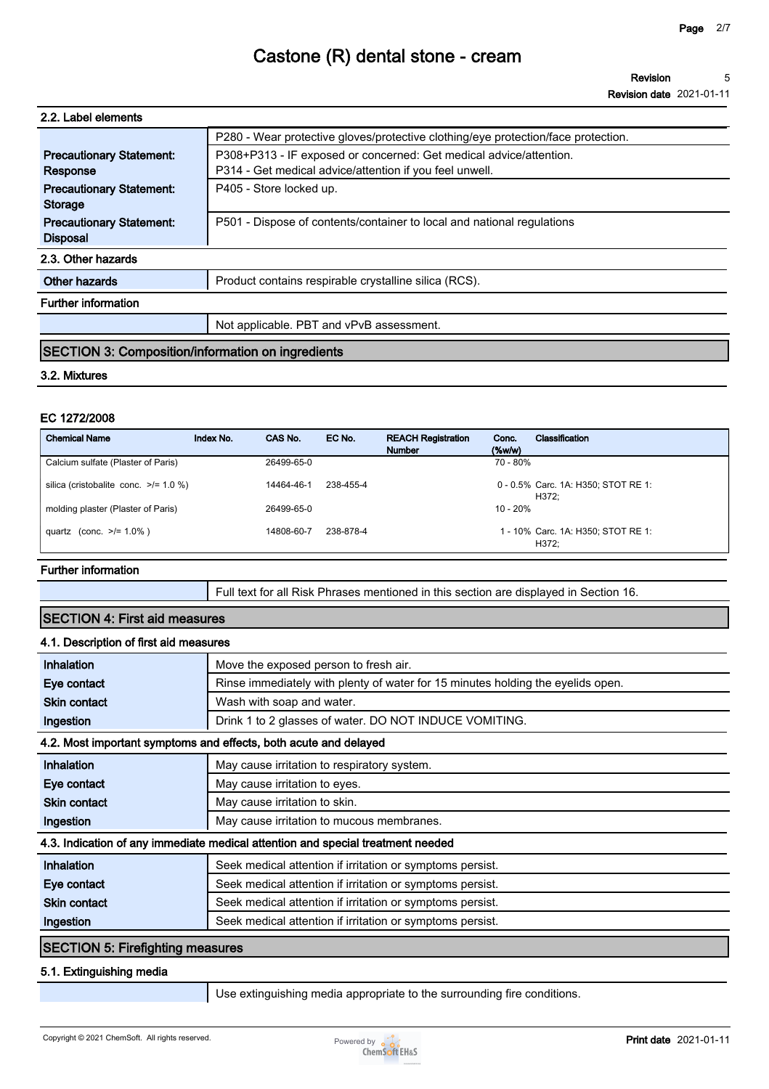**Revision date 2021-01-11**

| 2.2. Label elements                                      |                                                                                   |
|----------------------------------------------------------|-----------------------------------------------------------------------------------|
|                                                          | P280 - Wear protective gloves/protective clothing/eye protection/face protection. |
| <b>Precautionary Statement:</b>                          | P308+P313 - IF exposed or concerned: Get medical advice/attention.                |
| Response                                                 | P314 - Get medical advice/attention if you feel unwell.                           |
| <b>Precautionary Statement:</b>                          | P405 - Store locked up.                                                           |
| <b>Storage</b>                                           |                                                                                   |
| <b>Precautionary Statement:</b>                          | P501 - Dispose of contents/container to local and national regulations            |
| <b>Disposal</b>                                          |                                                                                   |
| 2.3. Other hazards                                       |                                                                                   |
| Other hazards                                            | Product contains respirable crystalline silica (RCS).                             |
| <b>Further information</b>                               |                                                                                   |
|                                                          | Not applicable. PBT and vPvB assessment.                                          |
| <b>SECTION 3: Composition/information on ingredients</b> |                                                                                   |

### **3.2. Mixtures**

### **EC 1272/2008**

| <b>Chemical Name</b>                       | Index No. | CAS No.    | EC No.    | <b>REACH Registration</b><br><b>Number</b> | Conc.<br>$(\%w/w)$ | Classification                               |
|--------------------------------------------|-----------|------------|-----------|--------------------------------------------|--------------------|----------------------------------------------|
| Calcium sulfate (Plaster of Paris)         |           | 26499-65-0 |           |                                            | 70 - 80%           |                                              |
| silica (cristobalite conc. $\ge$ /= 1.0 %) |           | 14464-46-1 | 238-455-4 |                                            |                    | 0 - 0.5% Carc. 1A: H350; STOT RE 1:<br>H372: |
| molding plaster (Plaster of Paris)         |           | 26499-65-0 |           |                                            | $10 - 20%$         |                                              |
| quartz (conc. $>1.0\%$ )                   |           | 14808-60-7 | 238-878-4 |                                            |                    | 1 - 10% Carc. 1A: H350; STOT RE 1:<br>H372:  |

#### **Further information**

**Full text for all Risk Phrases mentioned in this section are displayed in Section 16.**

## **SECTION 4: First aid measures**

### **4.1. Description of first aid measures**

| <b>Inhalation</b>                           | Move the exposed person to fresh air.                                           |
|---------------------------------------------|---------------------------------------------------------------------------------|
| Eye contact                                 | Rinse immediately with plenty of water for 15 minutes holding the eyelids open. |
| <b>Skin contact</b>                         | Wash with soap and water.                                                       |
| Ingestion                                   | Drink 1 to 2 glasses of water. DO NOT INDUCE VOMITING.                          |
|                                             | 4.2. Most important symptoms and effects, both acute and delayed                |
| <b>Inhalation</b>                           | May cause irritation to respiratory system.                                     |
| Eye contact                                 | May cause irritation to eyes.                                                   |
| <b>Skin contact</b>                         | May cause irritation to skin.                                                   |
| Ingestion                                   | May cause irritation to mucous membranes.                                       |
|                                             | 4.3. Indication of any immediate medical attention and special treatment needed |
| Inhalation                                  | Seek medical attention if irritation or symptoms persist.                       |
| Eye contact                                 | Seek medical attention if irritation or symptoms persist.                       |
| <b>Skin contact</b>                         | Seek medical attention if irritation or symptoms persist.                       |
| Ingestion                                   | Seek medical attention if irritation or symptoms persist.                       |
| $C$ $C$ $C$ $D$ $D$ $F$ $F$ $F$ $F$ $F$ $F$ |                                                                                 |

### **SECTION 5: Firefighting measures**

### **5.1. Extinguishing media**

**Use extinguishing media appropriate to the surrounding fire conditions.**

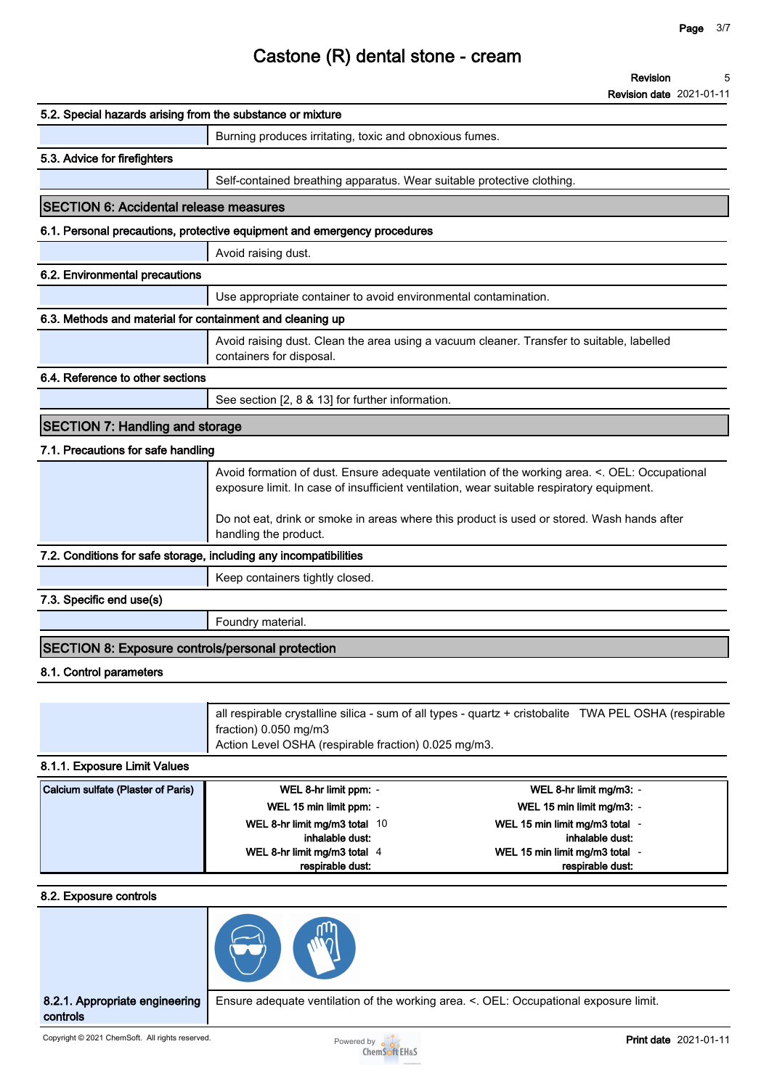**Revision date 2021-01-11**

| 5.2. Special hazards arising from the substance or mixture        |                                                                                                                                                                                             |
|-------------------------------------------------------------------|---------------------------------------------------------------------------------------------------------------------------------------------------------------------------------------------|
|                                                                   | Burning produces irritating, toxic and obnoxious fumes.                                                                                                                                     |
| 5.3. Advice for firefighters                                      |                                                                                                                                                                                             |
|                                                                   | Self-contained breathing apparatus. Wear suitable protective clothing.                                                                                                                      |
| <b>SECTION 6: Accidental release measures</b>                     |                                                                                                                                                                                             |
|                                                                   | 6.1. Personal precautions, protective equipment and emergency procedures                                                                                                                    |
|                                                                   | Avoid raising dust.                                                                                                                                                                         |
| 6.2. Environmental precautions                                    |                                                                                                                                                                                             |
|                                                                   | Use appropriate container to avoid environmental contamination.                                                                                                                             |
| 6.3. Methods and material for containment and cleaning up         |                                                                                                                                                                                             |
|                                                                   | Avoid raising dust. Clean the area using a vacuum cleaner. Transfer to suitable, labelled<br>containers for disposal.                                                                       |
| 6.4. Reference to other sections                                  |                                                                                                                                                                                             |
|                                                                   | See section [2, 8 & 13] for further information.                                                                                                                                            |
| <b>SECTION 7: Handling and storage</b>                            |                                                                                                                                                                                             |
| 7.1. Precautions for safe handling                                |                                                                                                                                                                                             |
|                                                                   | Avoid formation of dust. Ensure adequate ventilation of the working area. <. OEL: Occupational<br>exposure limit. In case of insufficient ventilation, wear suitable respiratory equipment. |
|                                                                   | Do not eat, drink or smoke in areas where this product is used or stored. Wash hands after<br>handling the product.                                                                         |
| 7.2. Conditions for safe storage, including any incompatibilities |                                                                                                                                                                                             |
|                                                                   | Keep containers tightly closed.                                                                                                                                                             |
| 7.3. Specific end use(s)                                          |                                                                                                                                                                                             |
|                                                                   | Foundry material.                                                                                                                                                                           |
| SECTION 8: Exposure controls/personal protection                  |                                                                                                                                                                                             |
| 8.1. Control parameters                                           |                                                                                                                                                                                             |
|                                                                   |                                                                                                                                                                                             |
|                                                                   | all respirable crystalline silica - sum of all types - quartz + cristobalite TWA PEL OSHA (respirable                                                                                       |

### **8.1.1. Exposure Limit Values**

| Calcium sulfate (Plaster of Paris) | WEL 8-hr limit ppm: -         | WEL 8-hr limit mg/m3: -        |  |
|------------------------------------|-------------------------------|--------------------------------|--|
|                                    | WEL 15 min limit ppm: -       | WEL 15 min limit mg/m3: -      |  |
|                                    | WEL 8-hr limit mg/m3 total 10 | WEL 15 min limit mg/m3 total - |  |
|                                    | inhalable dust:               | inhalable dust:                |  |
|                                    | WEL 8-hr limit mg/m3 total 4  | WEL 15 min limit mg/m3 total - |  |
|                                    | respirable dust:              | respirable dust:               |  |

**Action Level OSHA (respirable fraction) 0.025 mg/m3.**

#### **8.2. Exposure controls**



**fraction) 0.050 mg/m3**

**8.2.1. Appropriate engineering controls**

**Ensure adequate ventilation of the working area. <. OEL: Occupational exposure limit.**

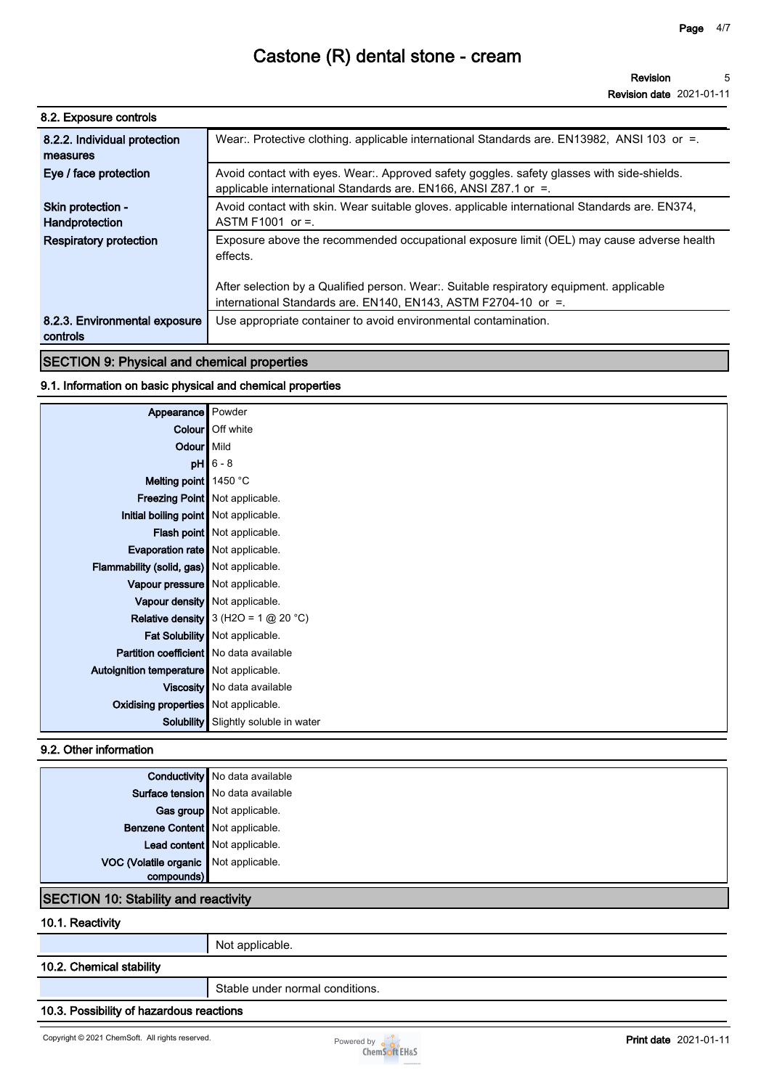| 8.2. Exposure controls                    |                                                                                                                                                               |
|-------------------------------------------|---------------------------------------------------------------------------------------------------------------------------------------------------------------|
| 8.2.2. Individual protection<br>measures  | Wear:. Protective clothing. applicable international Standards are. EN13982, ANSI 103 or =.                                                                   |
| Eye / face protection                     | Avoid contact with eyes. Wear:. Approved safety goggles. safety glasses with side-shields.<br>applicable international Standards are. EN166, ANSI Z87.1 or =. |
| Skin protection -<br>Handprotection       | Avoid contact with skin. Wear suitable gloves. applicable international Standards are. EN374,<br>ASTM F1001 or $=$ .                                          |
| <b>Respiratory protection</b>             | Exposure above the recommended occupational exposure limit (OEL) may cause adverse health<br>effects.                                                         |
|                                           | After selection by a Qualified person. Wear: Suitable respiratory equipment. applicable<br>international Standards are. EN140, EN143, ASTM F2704-10 or =.     |
| 8.2.3. Environmental exposure<br>controls | Use appropriate container to avoid environmental contamination.                                                                                               |

## **SECTION 9: Physical and chemical properties**

### **9.1. Information on basic physical and chemical properties**

| Appearance Powder                          |                                             |
|--------------------------------------------|---------------------------------------------|
|                                            | Colour   Off white                          |
| Odour   Mild                               |                                             |
|                                            | $pH$ 6 - 8                                  |
| Melting point 1450 °C                      |                                             |
|                                            | Freezing Point   Not applicable.            |
| Initial boiling point Not applicable.      |                                             |
|                                            | Flash point   Not applicable.               |
| Evaporation rate   Not applicable.         |                                             |
| Flammability (solid, gas) Not applicable.  |                                             |
| Vapour pressure   Not applicable.          |                                             |
|                                            | Vapour density   Not applicable.            |
|                                            | Relative density $3$ (H2O = 1 $@$ 20 °C)    |
|                                            | Fat Solubility   Not applicable.            |
| Partition coefficient   No data available  |                                             |
| Autoignition temperature   Not applicable. |                                             |
|                                            | Viscosity   No data available               |
| Oxidising properties   Not applicable.     |                                             |
|                                            | <b>Solubility</b> Slightly soluble in water |

## **9.2. Other information**

|                                       | Conductivity No data available      |
|---------------------------------------|-------------------------------------|
|                                       | Surface tension   No data available |
|                                       | Gas group Not applicable.           |
| Benzene Content Not applicable.       |                                     |
|                                       | Lead content Not applicable.        |
| VOC (Volatile organic Not applicable. |                                     |
| $com$                                 |                                     |

## **SECTION 10: Stability and reactivity**

**10.1. Reactivity**

**Not applicable.**

#### **10.2. Chemical stability**

**Stable under normal conditions.**

### **10.3. Possibility of hazardous reactions**

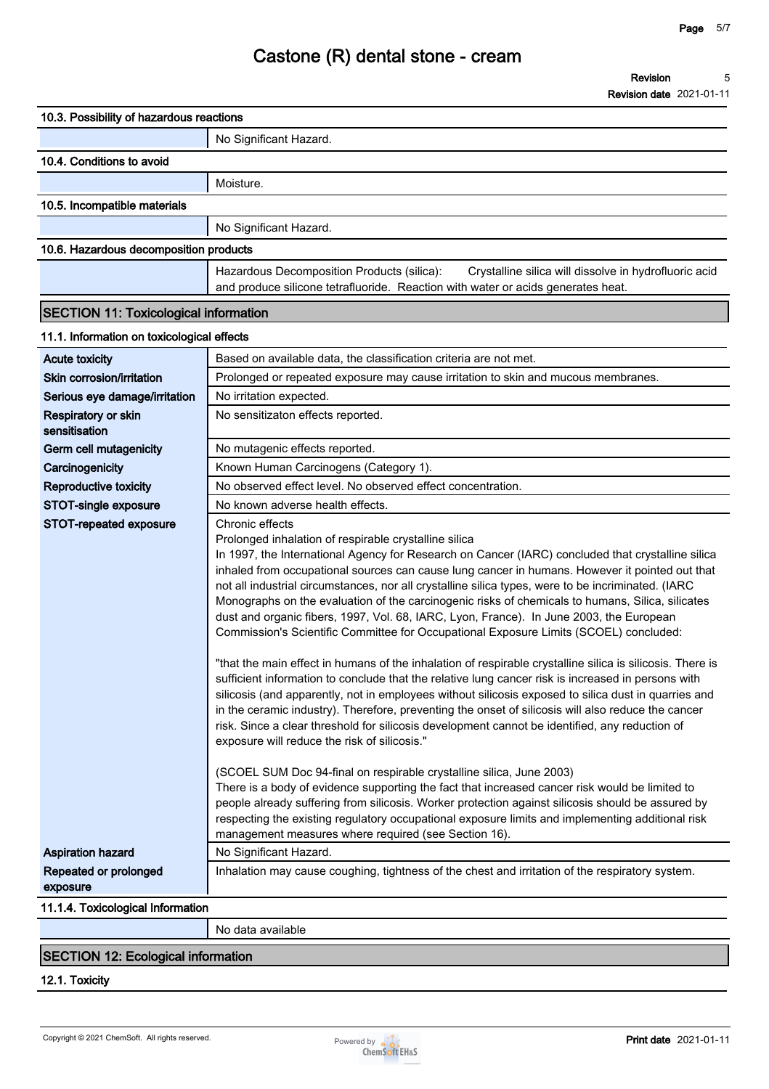**Revision date 2021-01-11**

| 10.3. Possibility of hazardous reactions     |                                                                                                                                                                                                                                                                                                                                                                                                                                                                                                                                                                                                                                                                                                                                                                                                                                                                                                                                                                                                                                                                                                                                                                                                                                                                                                                                                                                                                                                                                                                                                                                                                                                                                                             |
|----------------------------------------------|-------------------------------------------------------------------------------------------------------------------------------------------------------------------------------------------------------------------------------------------------------------------------------------------------------------------------------------------------------------------------------------------------------------------------------------------------------------------------------------------------------------------------------------------------------------------------------------------------------------------------------------------------------------------------------------------------------------------------------------------------------------------------------------------------------------------------------------------------------------------------------------------------------------------------------------------------------------------------------------------------------------------------------------------------------------------------------------------------------------------------------------------------------------------------------------------------------------------------------------------------------------------------------------------------------------------------------------------------------------------------------------------------------------------------------------------------------------------------------------------------------------------------------------------------------------------------------------------------------------------------------------------------------------------------------------------------------------|
|                                              | No Significant Hazard.                                                                                                                                                                                                                                                                                                                                                                                                                                                                                                                                                                                                                                                                                                                                                                                                                                                                                                                                                                                                                                                                                                                                                                                                                                                                                                                                                                                                                                                                                                                                                                                                                                                                                      |
| 10.4. Conditions to avoid                    |                                                                                                                                                                                                                                                                                                                                                                                                                                                                                                                                                                                                                                                                                                                                                                                                                                                                                                                                                                                                                                                                                                                                                                                                                                                                                                                                                                                                                                                                                                                                                                                                                                                                                                             |
|                                              | Moisture.                                                                                                                                                                                                                                                                                                                                                                                                                                                                                                                                                                                                                                                                                                                                                                                                                                                                                                                                                                                                                                                                                                                                                                                                                                                                                                                                                                                                                                                                                                                                                                                                                                                                                                   |
| 10.5. Incompatible materials                 |                                                                                                                                                                                                                                                                                                                                                                                                                                                                                                                                                                                                                                                                                                                                                                                                                                                                                                                                                                                                                                                                                                                                                                                                                                                                                                                                                                                                                                                                                                                                                                                                                                                                                                             |
|                                              | No Significant Hazard.                                                                                                                                                                                                                                                                                                                                                                                                                                                                                                                                                                                                                                                                                                                                                                                                                                                                                                                                                                                                                                                                                                                                                                                                                                                                                                                                                                                                                                                                                                                                                                                                                                                                                      |
| 10.6. Hazardous decomposition products       |                                                                                                                                                                                                                                                                                                                                                                                                                                                                                                                                                                                                                                                                                                                                                                                                                                                                                                                                                                                                                                                                                                                                                                                                                                                                                                                                                                                                                                                                                                                                                                                                                                                                                                             |
|                                              | Hazardous Decomposition Products (silica):<br>Crystalline silica will dissolve in hydrofluoric acid<br>and produce silicone tetrafluoride. Reaction with water or acids generates heat.                                                                                                                                                                                                                                                                                                                                                                                                                                                                                                                                                                                                                                                                                                                                                                                                                                                                                                                                                                                                                                                                                                                                                                                                                                                                                                                                                                                                                                                                                                                     |
| <b>SECTION 11: Toxicological information</b> |                                                                                                                                                                                                                                                                                                                                                                                                                                                                                                                                                                                                                                                                                                                                                                                                                                                                                                                                                                                                                                                                                                                                                                                                                                                                                                                                                                                                                                                                                                                                                                                                                                                                                                             |
| 11.1. Information on toxicological effects   |                                                                                                                                                                                                                                                                                                                                                                                                                                                                                                                                                                                                                                                                                                                                                                                                                                                                                                                                                                                                                                                                                                                                                                                                                                                                                                                                                                                                                                                                                                                                                                                                                                                                                                             |
| <b>Acute toxicity</b>                        | Based on available data, the classification criteria are not met.                                                                                                                                                                                                                                                                                                                                                                                                                                                                                                                                                                                                                                                                                                                                                                                                                                                                                                                                                                                                                                                                                                                                                                                                                                                                                                                                                                                                                                                                                                                                                                                                                                           |
| Skin corrosion/irritation                    | Prolonged or repeated exposure may cause irritation to skin and mucous membranes.                                                                                                                                                                                                                                                                                                                                                                                                                                                                                                                                                                                                                                                                                                                                                                                                                                                                                                                                                                                                                                                                                                                                                                                                                                                                                                                                                                                                                                                                                                                                                                                                                           |
| Serious eye damage/irritation                | No irritation expected.                                                                                                                                                                                                                                                                                                                                                                                                                                                                                                                                                                                                                                                                                                                                                                                                                                                                                                                                                                                                                                                                                                                                                                                                                                                                                                                                                                                                                                                                                                                                                                                                                                                                                     |
| Respiratory or skin<br>sensitisation         | No sensitizaton effects reported.                                                                                                                                                                                                                                                                                                                                                                                                                                                                                                                                                                                                                                                                                                                                                                                                                                                                                                                                                                                                                                                                                                                                                                                                                                                                                                                                                                                                                                                                                                                                                                                                                                                                           |
| Germ cell mutagenicity                       | No mutagenic effects reported.                                                                                                                                                                                                                                                                                                                                                                                                                                                                                                                                                                                                                                                                                                                                                                                                                                                                                                                                                                                                                                                                                                                                                                                                                                                                                                                                                                                                                                                                                                                                                                                                                                                                              |
| Carcinogenicity                              | Known Human Carcinogens (Category 1).                                                                                                                                                                                                                                                                                                                                                                                                                                                                                                                                                                                                                                                                                                                                                                                                                                                                                                                                                                                                                                                                                                                                                                                                                                                                                                                                                                                                                                                                                                                                                                                                                                                                       |
| <b>Reproductive toxicity</b>                 | No observed effect level. No observed effect concentration.                                                                                                                                                                                                                                                                                                                                                                                                                                                                                                                                                                                                                                                                                                                                                                                                                                                                                                                                                                                                                                                                                                                                                                                                                                                                                                                                                                                                                                                                                                                                                                                                                                                 |
| STOT-single exposure                         | No known adverse health effects.                                                                                                                                                                                                                                                                                                                                                                                                                                                                                                                                                                                                                                                                                                                                                                                                                                                                                                                                                                                                                                                                                                                                                                                                                                                                                                                                                                                                                                                                                                                                                                                                                                                                            |
| STOT-repeated exposure                       | Chronic effects<br>Prolonged inhalation of respirable crystalline silica<br>In 1997, the International Agency for Research on Cancer (IARC) concluded that crystalline silica<br>inhaled from occupational sources can cause lung cancer in humans. However it pointed out that<br>not all industrial circumstances, nor all crystalline silica types, were to be incriminated. (IARC<br>Monographs on the evaluation of the carcinogenic risks of chemicals to humans, Silica, silicates<br>dust and organic fibers, 1997, Vol. 68, IARC, Lyon, France). In June 2003, the European<br>Commission's Scientific Committee for Occupational Exposure Limits (SCOEL) concluded:<br>"that the main effect in humans of the inhalation of respirable crystalline silica is silicosis. There is<br>sufficient information to conclude that the relative lung cancer risk is increased in persons with<br>silicosis (and apparently, not in employees without silicosis exposed to silica dust in quarries and<br>in the ceramic industry). Therefore, preventing the onset of silicosis will also reduce the cancer<br>risk. Since a clear threshold for silicosis development cannot be identified, any reduction of<br>exposure will reduce the risk of silicosis."<br>(SCOEL SUM Doc 94-final on respirable crystalline silica, June 2003)<br>There is a body of evidence supporting the fact that increased cancer risk would be limited to<br>people already suffering from silicosis. Worker protection against silicosis should be assured by<br>respecting the existing regulatory occupational exposure limits and implementing additional risk<br>management measures where required (see Section 16). |
| <b>Aspiration hazard</b>                     | No Significant Hazard.                                                                                                                                                                                                                                                                                                                                                                                                                                                                                                                                                                                                                                                                                                                                                                                                                                                                                                                                                                                                                                                                                                                                                                                                                                                                                                                                                                                                                                                                                                                                                                                                                                                                                      |
| Repeated or prolonged<br>exposure            | Inhalation may cause coughing, tightness of the chest and irritation of the respiratory system.                                                                                                                                                                                                                                                                                                                                                                                                                                                                                                                                                                                                                                                                                                                                                                                                                                                                                                                                                                                                                                                                                                                                                                                                                                                                                                                                                                                                                                                                                                                                                                                                             |
| 11.1.4. Toxicological Information            |                                                                                                                                                                                                                                                                                                                                                                                                                                                                                                                                                                                                                                                                                                                                                                                                                                                                                                                                                                                                                                                                                                                                                                                                                                                                                                                                                                                                                                                                                                                                                                                                                                                                                                             |
|                                              | No data available                                                                                                                                                                                                                                                                                                                                                                                                                                                                                                                                                                                                                                                                                                                                                                                                                                                                                                                                                                                                                                                                                                                                                                                                                                                                                                                                                                                                                                                                                                                                                                                                                                                                                           |
|                                              |                                                                                                                                                                                                                                                                                                                                                                                                                                                                                                                                                                                                                                                                                                                                                                                                                                                                                                                                                                                                                                                                                                                                                                                                                                                                                                                                                                                                                                                                                                                                                                                                                                                                                                             |

## **SECTION 12: Ecological information**

**12.1. Toxicity**

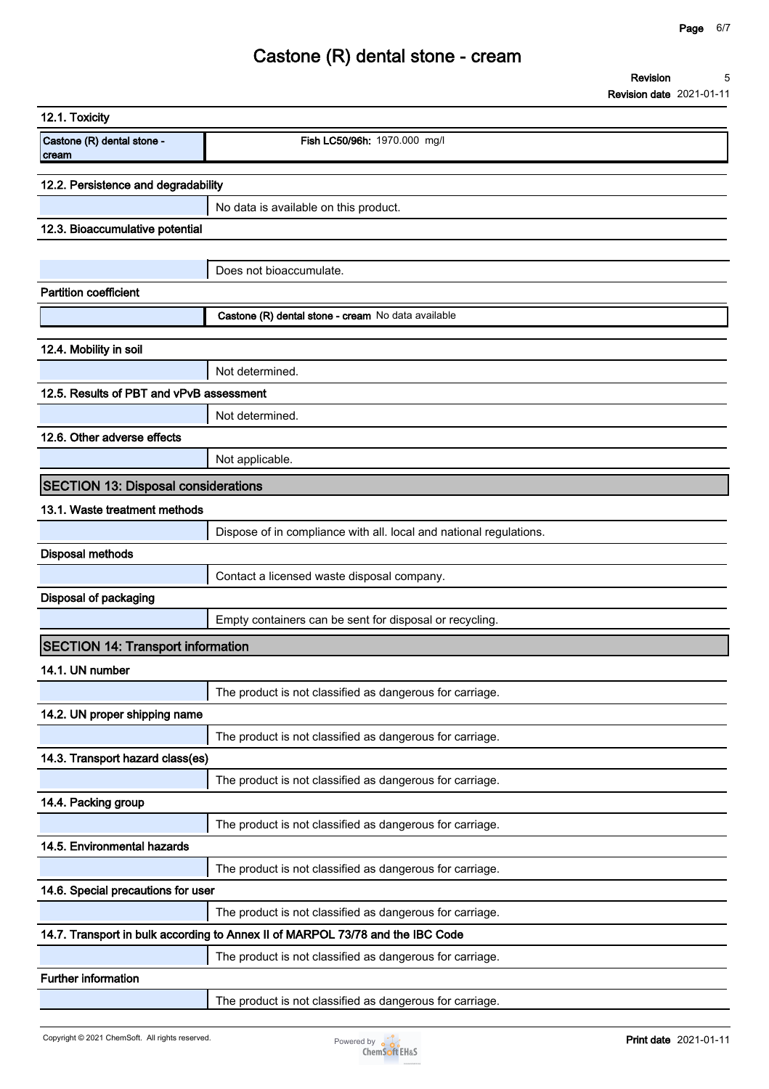| 12.1. Toxicity                             |                                                                                |
|--------------------------------------------|--------------------------------------------------------------------------------|
| Castone (R) dental stone -<br>cream        | Fish LC50/96h: 1970.000 mg/l                                                   |
| 12.2. Persistence and degradability        |                                                                                |
|                                            | No data is available on this product.                                          |
| 12.3. Bioaccumulative potential            |                                                                                |
|                                            |                                                                                |
|                                            | Does not bioaccumulate.                                                        |
| <b>Partition coefficient</b>               |                                                                                |
|                                            | Castone (R) dental stone - cream No data available                             |
| 12.4. Mobility in soil                     |                                                                                |
|                                            | Not determined.                                                                |
| 12.5. Results of PBT and vPvB assessment   |                                                                                |
|                                            | Not determined.                                                                |
| 12.6. Other adverse effects                |                                                                                |
|                                            | Not applicable.                                                                |
| <b>SECTION 13: Disposal considerations</b> |                                                                                |
| 13.1. Waste treatment methods              |                                                                                |
|                                            | Dispose of in compliance with all. local and national regulations.             |
| <b>Disposal methods</b>                    |                                                                                |
|                                            | Contact a licensed waste disposal company.                                     |
| Disposal of packaging                      |                                                                                |
|                                            | Empty containers can be sent for disposal or recycling.                        |
| <b>SECTION 14: Transport information</b>   |                                                                                |
| 14.1. UN number                            |                                                                                |
|                                            | The product is not classified as dangerous for carriage.                       |
| 14.2. UN proper shipping name              |                                                                                |
| 14.3. Transport hazard class(es)           | The product is not classified as dangerous for carriage.                       |
|                                            | The product is not classified as dangerous for carriage.                       |
| 14.4. Packing group                        |                                                                                |
|                                            | The product is not classified as dangerous for carriage.                       |
| 14.5. Environmental hazards                |                                                                                |
|                                            | The product is not classified as dangerous for carriage.                       |
| 14.6. Special precautions for user         |                                                                                |
|                                            | The product is not classified as dangerous for carriage.                       |
|                                            | 14.7. Transport in bulk according to Annex II of MARPOL 73/78 and the IBC Code |
|                                            | The product is not classified as dangerous for carriage.                       |
| <b>Further information</b>                 |                                                                                |
|                                            | The product is not classified as dangerous for carriage.                       |